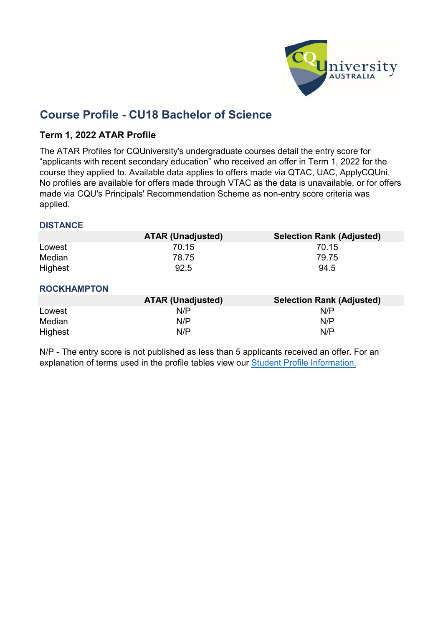

# **Course Profile - CU18 Bachelor of Science**

### **Term 1, 2022 ATAR Profile**

The ATAR Profiles for CQUniversity's undergraduate courses detail the entry score for "applicants with recent secondary education" who received an offer in Term 1, 2022 for the course they applied to. Available data applies to offers made via QTAC, UAC, ApplyCQUni. No profiles are available for offers made through VTAC as the data is unavailable, or for offers made via CQU's Principals' Recommendation Scheme as non-entry score criteria was applied.

### **DISTANCE**

|                | <b>ATAR (Unadjusted)</b> | <b>Selection Rank (Adjusted)</b> |
|----------------|--------------------------|----------------------------------|
| Lowest         | 70.15                    | 70.15                            |
| Median         | 78.75                    | 79.75                            |
| <b>Highest</b> | 92.5                     | 94.5                             |

#### **ROCKHAMPTON**

|         | <b>ATAR (Unadjusted)</b> | <b>Selection Rank (Adjusted)</b> |
|---------|--------------------------|----------------------------------|
| Lowest  | N/P                      | N/P                              |
| Median  | N/P                      | N/P                              |
| Highest | N/P                      | N/P                              |

N/P - [The entry](https://www.cqu.edu.au/courses/future-students/your-journey/enquire/student-profile) score is not published as less than 5 applicants received an offer. For an [explanation of](https://www.cqu.edu.au/courses/future-students/your-journey/enquire/student-profile) terms [used in the profile tables](https://www.cqu.edu.au/courses/future-students/your-journey/enquire/student-profile) view our Student [Profile Information.](https://www.cqu.edu.au/courses/future-students/your-journey/enquire/student-profile)